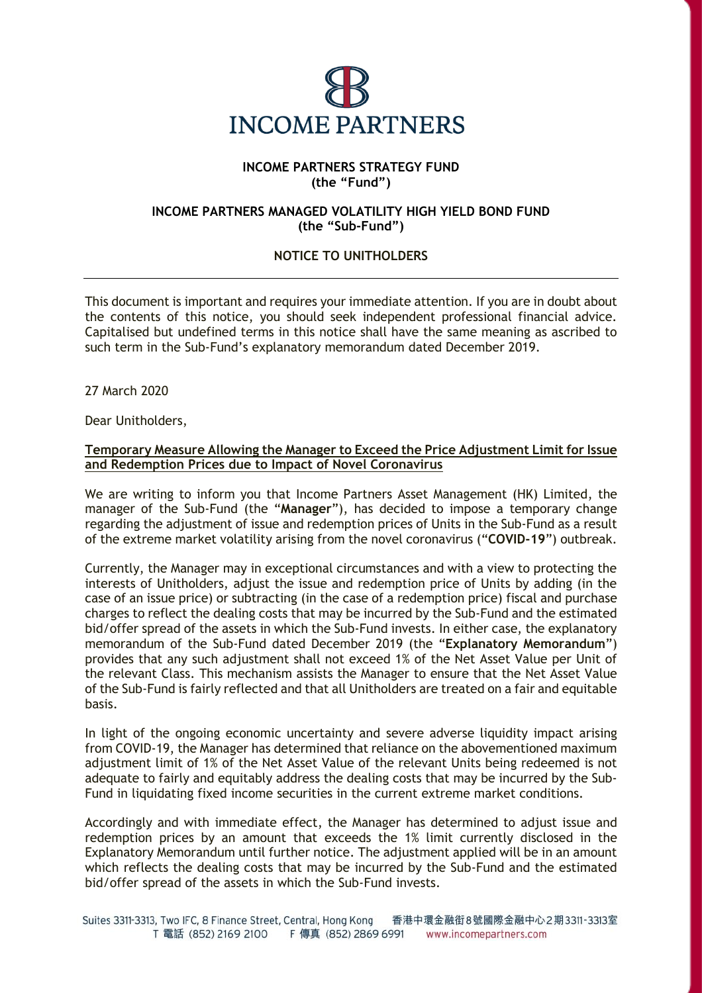

## **INCOME PARTNERS STRATEGY FUND (the "Fund")**

## **INCOME PARTNERS MANAGED VOLATILITY HIGH YIELD BOND FUND (the "Sub-Fund")**

## **NOTICE TO UNITHOLDERS**

This document is important and requires your immediate attention. If you are in doubt about the contents of this notice, you should seek independent professional financial advice. Capitalised but undefined terms in this notice shall have the same meaning as ascribed to such term in the Sub-Fund's explanatory memorandum dated December 2019.

27 March 2020

Dear Unitholders,

## **Temporary Measure Allowing the Manager to Exceed the Price Adjustment Limit for Issue and Redemption Prices due to Impact of Novel Coronavirus**

We are writing to inform you that Income Partners Asset Management (HK) Limited, the manager of the Sub-Fund (the "**Manager**"), has decided to impose a temporary change regarding the adjustment of issue and redemption prices of Units in the Sub-Fund as a result of the extreme market volatility arising from the novel coronavirus ("**COVID-19**") outbreak.

Currently, the Manager may in exceptional circumstances and with a view to protecting the interests of Unitholders, adjust the issue and redemption price of Units by adding (in the case of an issue price) or subtracting (in the case of a redemption price) fiscal and purchase charges to reflect the dealing costs that may be incurred by the Sub-Fund and the estimated bid/offer spread of the assets in which the Sub-Fund invests. In either case, the explanatory memorandum of the Sub-Fund dated December 2019 (the "**Explanatory Memorandum**") provides that any such adjustment shall not exceed 1% of the Net Asset Value per Unit of the relevant Class. This mechanism assists the Manager to ensure that the Net Asset Value of the Sub-Fund is fairly reflected and that all Unitholders are treated on a fair and equitable basis.

In light of the ongoing economic uncertainty and severe adverse liquidity impact arising from COVID-19, the Manager has determined that reliance on the abovementioned maximum adjustment limit of 1% of the Net Asset Value of the relevant Units being redeemed is not adequate to fairly and equitably address the dealing costs that may be incurred by the Sub-Fund in liquidating fixed income securities in the current extreme market conditions.

Accordingly and with immediate effect, the Manager has determined to adjust issue and redemption prices by an amount that exceeds the 1% limit currently disclosed in the Explanatory Memorandum until further notice. The adjustment applied will be in an amount which reflects the dealing costs that may be incurred by the Sub-Fund and the estimated bid/offer spread of the assets in which the Sub-Fund invests.